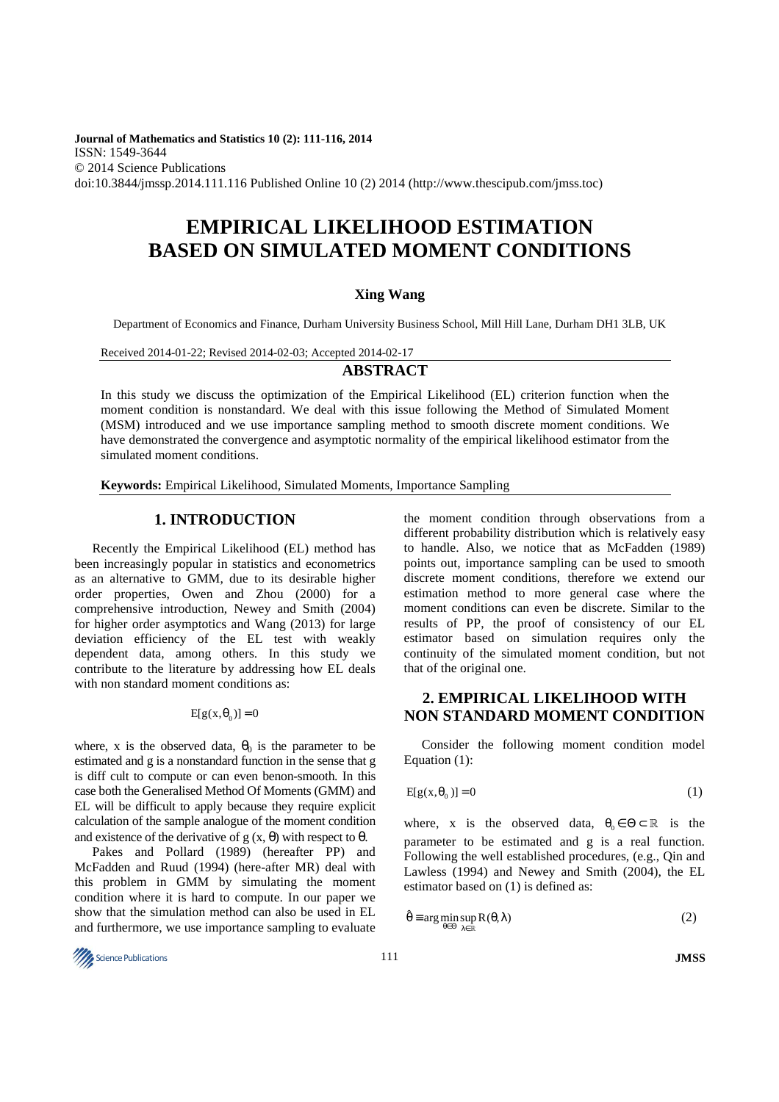**Journal of Mathematics and Statistics 10 (2): 111-116, 2014**  ISSN: 1549-3644 © 2014 Science Publications doi:10.3844/jmssp.2014.111.116 Published Online 10 (2) 2014 (http://www.thescipub.com/jmss.toc)

# **EMPIRICAL LIKELIHOOD ESTIMATION BASED ON SIMULATED MOMENT CONDITIONS**

## **Xing Wang**

Department of Economics and Finance, Durham University Business School, Mill Hill Lane, Durham DH1 3LB, UK

## Received 2014-01-22; Revised 2014-02-03; Accepted 2014-02-17

## **ABSTRACT**

In this study we discuss the optimization of the Empirical Likelihood (EL) criterion function when the moment condition is nonstandard. We deal with this issue following the Method of Simulated Moment (MSM) introduced and we use importance sampling method to smooth discrete moment conditions. We have demonstrated the convergence and asymptotic normality of the empirical likelihood estimator from the simulated moment conditions.

**Keywords:** Empirical Likelihood, Simulated Moments, Importance Sampling

## **1. INTRODUCTION**

Recently the Empirical Likelihood (EL) method has been increasingly popular in statistics and econometrics as an alternative to GMM, due to its desirable higher order properties, Owen and Zhou (2000) for a comprehensive introduction, Newey and Smith (2004) for higher order asymptotics and Wang (2013) for large deviation efficiency of the EL test with weakly dependent data, among others. In this study we contribute to the literature by addressing how EL deals with non standard moment conditions as:

 $E[g(x, \theta_0)] = 0$ 

where, x is the observed data,  $\theta_0$  is the parameter to be estimated and g is a nonstandard function in the sense that g is diff cult to compute or can even benon-smooth. In this case both the Generalised Method Of Moments (GMM) and EL will be difficult to apply because they require explicit calculation of the sample analogue of the moment condition and existence of the derivative of  $g(x, \theta)$  with respect to  $\theta$ .

Pakes and Pollard (1989) (hereafter PP) and McFadden and Ruud (1994) (here-after MR) deal with this problem in GMM by simulating the moment condition where it is hard to compute. In our paper we show that the simulation method can also be used in EL and furthermore, we use importance sampling to evaluate

the moment condition through observations from a different probability distribution which is relatively easy to handle. Also, we notice that as McFadden (1989) points out, importance sampling can be used to smooth discrete moment conditions, therefore we extend our estimation method to more general case where the moment conditions can even be discrete. Similar to the results of PP, the proof of consistency of our EL estimator based on simulation requires only the continuity of the simulated moment condition, but not that of the original one.

# **2. EMPIRICAL LIKELIHOOD WITH NON STANDARD MOMENT CONDITION**

Consider the following moment condition model Equation (1):

$$
E[g(x, \theta_0)] = 0 \tag{1}
$$

where, x is the observed data,  $\theta_0 \in \Theta \subset \mathbb{R}$  is the parameter to be estimated and g is a real function. Following the well established procedures, (e.g., Qin and Lawless (1994) and Newey and Smith (2004), the EL estimator based on (1) is defined as:

$$
\hat{\theta} = \arg\min_{\theta \in \Theta} \sup_{\lambda \in \mathbb{R}} R(\theta, \lambda)
$$
 (2)

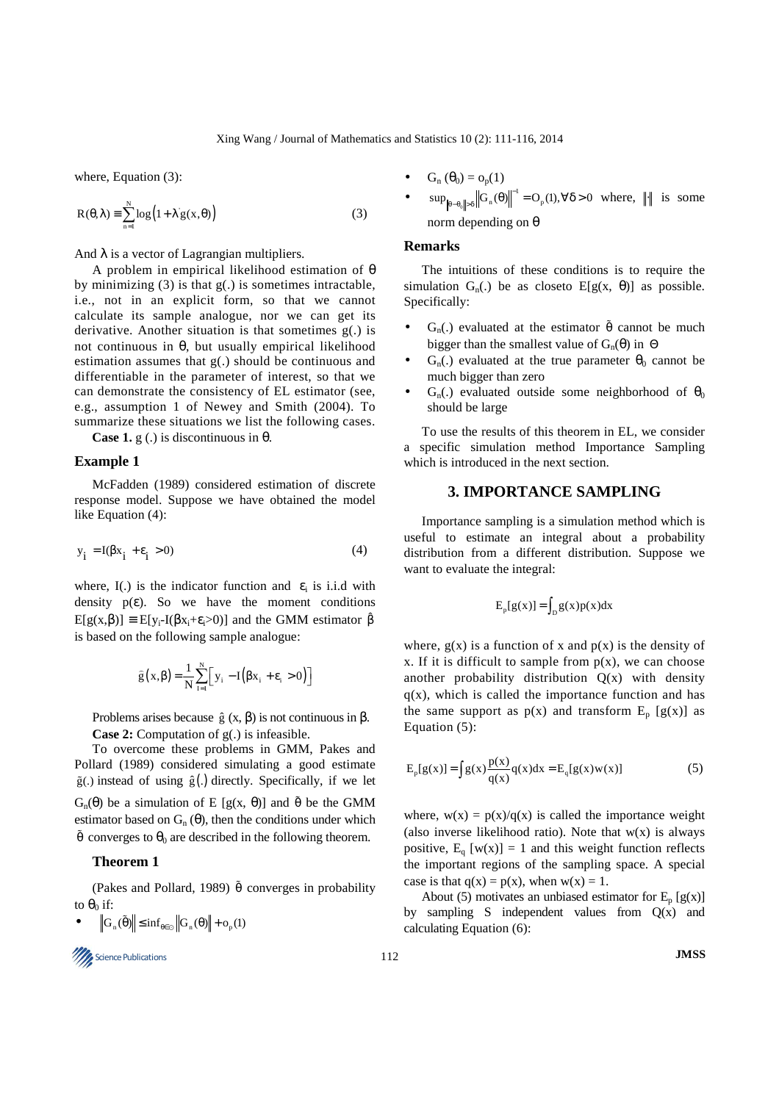where, Equation (3):

$$
R(\theta, \lambda) = \sum_{n=1}^{N} \log(1 + \lambda g(x, \theta))
$$
 (3)

And  $\lambda$  is a vector of Lagrangian multipliers.

A problem in empirical likelihood estimation of θ by minimizing  $(3)$  is that  $g(.)$  is sometimes intractable, i.e., not in an explicit form, so that we cannot calculate its sample analogue, nor we can get its derivative. Another situation is that sometimes g(.) is not continuous in θ, but usually empirical likelihood estimation assumes that g(.) should be continuous and differentiable in the parameter of interest, so that we can demonstrate the consistency of EL estimator (see, e.g., assumption 1 of Newey and Smith (2004). To summarize these situations we list the following cases.

**Case 1.**  $g(.)$  is discontinuous in  $\theta$ .

#### **Example 1**

McFadden (1989) considered estimation of discrete response model. Suppose we have obtained the model like Equation (4):

$$
y_i = I(\beta x_i + \varepsilon_i > 0) \tag{4}
$$

where, I(.) is the indicator function and  $\varepsilon_i$  is i.i.d with density  $p(\varepsilon)$ . So we have the moment conditions  $E[g(x,\beta)] \equiv E[y_i-I(\beta x_i+\varepsilon_i>0)]$  and the GMM estimator  $\beta$ is based on the following sample analogue:

$$
\widehat{g}\left(x,\beta\right) = \frac{1}{N} \sum_{i=1}^{N} \Big[ y_i - I\Big(\beta x_i + \epsilon_i > 0\Big) \Big]
$$

Problems arises because  $\hat{g}(x, \beta)$  is not continuous in  $\beta$ .

**Case 2:** Computation of g(.) is infeasible.

To overcome these problems in GMM, Pakes and Pollard (1989) considered simulating a good estimate  $\tilde{g}$ . instead of using  $\hat{g}$ . directly. Specifically, if we let  $G_n(\theta)$  be a simulation of E [g(x,  $\theta$ )] and  $\tilde{\theta}$  be the GMM estimator based on  $G_n(\theta)$ , then the conditions under which  $\tilde{\theta}$  converges to  $\theta_0$  are described in the following theorem.

#### **Theorem 1**

(Pakes and Pollard, 1989)  $\tilde{\theta}$  converges in probability to  $\theta_0$  if:

$$
\bullet \qquad \left\| G_n(\tilde{\theta}) \right\| \leq \inf\nolimits_{\theta \in \odot} \left\| G_n(\theta) \right\| + o_p(1)
$$

Science Publications 112 **JMSS** 

- $G_n(\theta_0) = o_p(1)$
- 0  $\sup_{\|\theta - \theta\|_p \leq \theta} \|G_n(\theta)\|^{-1} = O_p(1), \forall \delta > 0$  $\|\Theta_{\mathbf{e}^{-\theta_0}\|>\delta} \|G_{\mathbf{n}}(\theta)\|^{-1} = O_{\mathbf{p}}(1), \forall \delta > 0 \text{ where, } \|\cdot\| \text{ is some } \delta$ norm depending on θ

#### **Remarks**

The intuitions of these conditions is to require the simulation  $G_n(.)$  be as closeto  $E[g(x, \theta)]$  as possible. Specifically:

- $G_n(.)$  evaluated at the estimator  $\tilde{\theta}$  cannot be much bigger than the smallest value of  $G_n(\theta)$  in  $\Theta$
- $G_n(.)$  evaluated at the true parameter  $\theta_0$  cannot be much bigger than zero
- $G_n(.)$  evaluated outside some neighborhood of  $\theta_0$ should be large

To use the results of this theorem in EL, we consider a specific simulation method Importance Sampling which is introduced in the next section.

# **3. IMPORTANCE SAMPLING**

Importance sampling is a simulation method which is useful to estimate an integral about a probability distribution from a different distribution. Suppose we want to evaluate the integral:

$$
E_p[g(x)] = \int_D g(x)p(x)dx
$$

where,  $g(x)$  is a function of x and  $p(x)$  is the density of x. If it is difficult to sample from  $p(x)$ , we can choose another probability distribution  $Q(x)$  with density  $q(x)$ , which is called the importance function and has the same support as  $p(x)$  and transform  $E_p$  [g(x)] as Equation (5):

$$
E_p[g(x)] = \int g(x) \frac{p(x)}{q(x)} q(x) dx = E_q[g(x)w(x)]
$$
 (5)

where,  $w(x) = p(x)/q(x)$  is called the importance weight (also inverse likelihood ratio). Note that  $w(x)$  is always positive,  $E_q$  [w(x)] = 1 and this weight function reflects the important regions of the sampling space. A special case is that  $q(x) = p(x)$ , when  $w(x) = 1$ .

About (5) motivates an unbiased estimator for  $E_p[g(x)]$ by sampling S independent values from  $Q(x)$  and calculating Equation (6):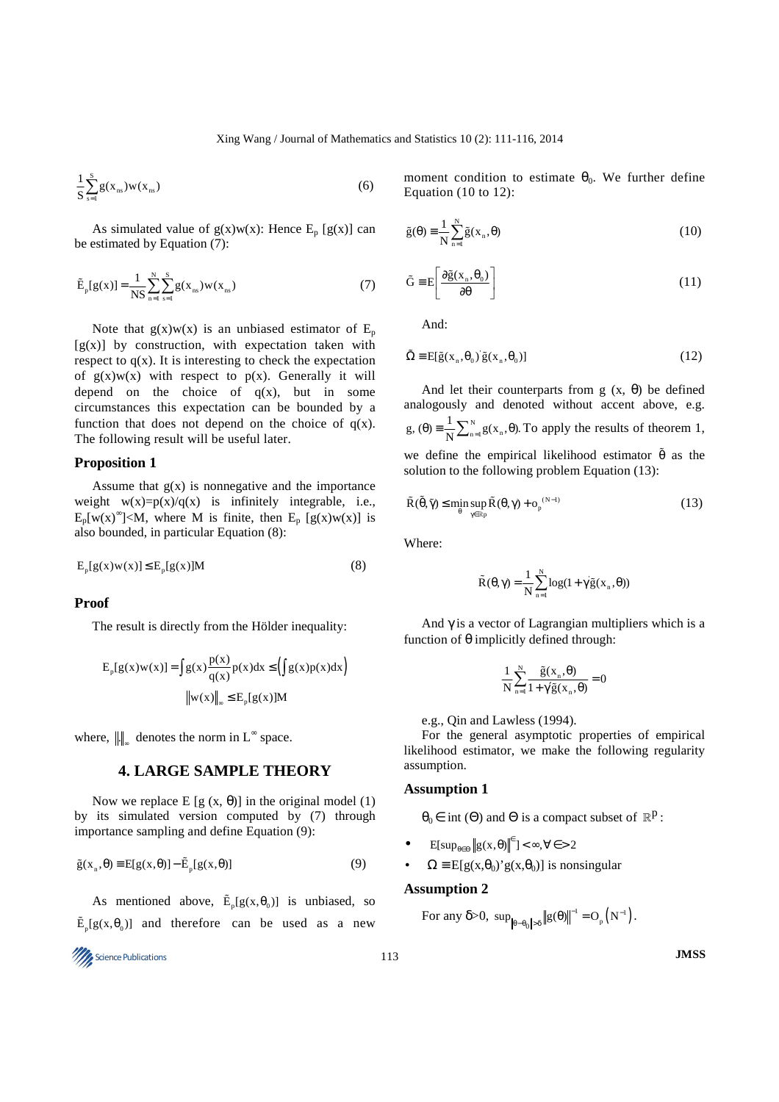$$
\frac{1}{S} \sum_{s=1}^{S} g(x_{ns}) w(x_{ns})
$$
 (6)

As simulated value of  $g(x)w(x)$ : Hence E<sub>p</sub> [g(x)] can be estimated by Equation (7):

$$
\tilde{E}_p[g(x)] = \frac{1}{NS} \sum_{n=1}^{N} \sum_{s=1}^{S} g(x_{ns}) w(x_{ns})
$$
\n(7)

Note that  $g(x)w(x)$  is an unbiased estimator of  $E_p$  $[g(x)]$  by construction, with expectation taken with respect to  $q(x)$ . It is interesting to check the expectation of  $g(x)w(x)$  with respect to  $p(x)$ . Generally it will depend on the choice of  $q(x)$ , but in some circumstances this expectation can be bounded by a function that does not depend on the choice of  $q(x)$ . The following result will be useful later.

## **Proposition 1**

Assume that  $g(x)$  is nonnegative and the importance weight  $w(x)=p(x)/q(x)$  is infinitely integrable, i.e.,  $E_p[w(x)^\infty] < M$ , where M is finite, then  $E_p[g(x)w(x)]$  is also bounded, in particular Equation (8):

$$
E_p[g(x)w(x)] \le E_p[g(x)]M
$$
 (8)

### **Proof**

The result is directly from the Hölder inequality:

$$
E_p[g(x)w(x)] = \int g(x) \frac{p(x)}{q(x)} p(x) dx \le \left(\int g(x)p(x) dx\right)
$$

$$
\|w(x)\|_{\infty} \le E_p[g(x)]M
$$

where,  $\left\| \cdot \right\|_{\infty}$  denotes the norm in L<sup>∞</sup> space.

# **4. LARGE SAMPLE THEORY**

Now we replace E [g  $(x, \theta)$ ] in the original model (1) by its simulated version computed by (7) through importance sampling and define Equation (9):

$$
\tilde{g}(x_n, \theta) \equiv E[g(x, \theta)] - \tilde{E}_p[g(x, \theta)] \tag{9}
$$

As mentioned above,  $\tilde{E}_p[g(x, \theta_0)]$  is unbiased, so  $\tilde{E}_p[g(x, \theta_0)]$  and therefore can be used as a new

Science Publications 113 **JMSS** 

moment condition to estimate  $\theta_0$ . We further define Equation (10 to 12):

$$
\tilde{g}(\theta) = \frac{1}{N} \sum_{n=1}^{N} \tilde{g}(x_n, \theta)
$$
\n(10)

$$
\tilde{G} = E \left[ \frac{\partial \tilde{g}(x_n, \theta_0)}{\partial \theta} \right]
$$
 (11)

And:

$$
\tilde{\Omega} = E[\tilde{g}(x_n, \theta_0) \tilde{g}(x_n, \theta_0)]
$$
\n(12)

And let their counterparts from  $g(x, \theta)$  be defined analogously and denoted without accent above, e.g.  $_{n=1}^{N}g(x_n)$ g,  $(\theta) = \frac{1}{N} \sum_{n=1}^{N} g(x_n, \theta)$ . To apply the results of theorem 1, we define the empirical likelihood estimator  $\tilde{\theta}$  as the solution to the following problem Equation (13):

$$
\tilde{R}(\tilde{\theta}, \tilde{\gamma}) \le \min_{\theta} \sup_{\gamma \in \mathbb{R}^p} \tilde{R}(\theta, \gamma) + o_p^{(N-1)}
$$
\n(13)

Where:

$$
\tilde{R}(\theta, \gamma) = \frac{1}{N} \sum_{n=1}^{N} \log(1 + \gamma \tilde{g}(x_n, \theta))
$$

And  $\gamma$  is a vector of Lagrangian multipliers which is a function of θ implicitly defined through:

$$
\frac{1}{N} \sum_{n=1}^{N} \frac{\tilde{g}(x_n, \theta)}{1 + \gamma \tilde{g}(x_n, \theta)} = 0
$$

e.g., Qin and Lawless (1994).

For the general asymptotic properties of empirical likelihood estimator, we make the following regularity assumption.

#### **Assumption 1**

 $\theta_0 \in \text{int}(\Theta)$  and  $\Theta$  is a compact subset of  $\mathbb{R}^p$ :

- E[sup<sub> $\theta \in \Theta$ </sub> $||g(x, \theta)||^{\epsilon}$ ] <  $\infty$ ,  $\forall \epsilon$  > 2
- $\Omega = E[g(x, \theta_0) g(x, \theta_0)]$  is nonsingular

## **Assumption 2**

For any  $\delta > 0$ ,  $\sup_{\|\theta - \theta_0\| > \delta} \|g(\theta)\|^{-1} = O_p(N^{-1}).$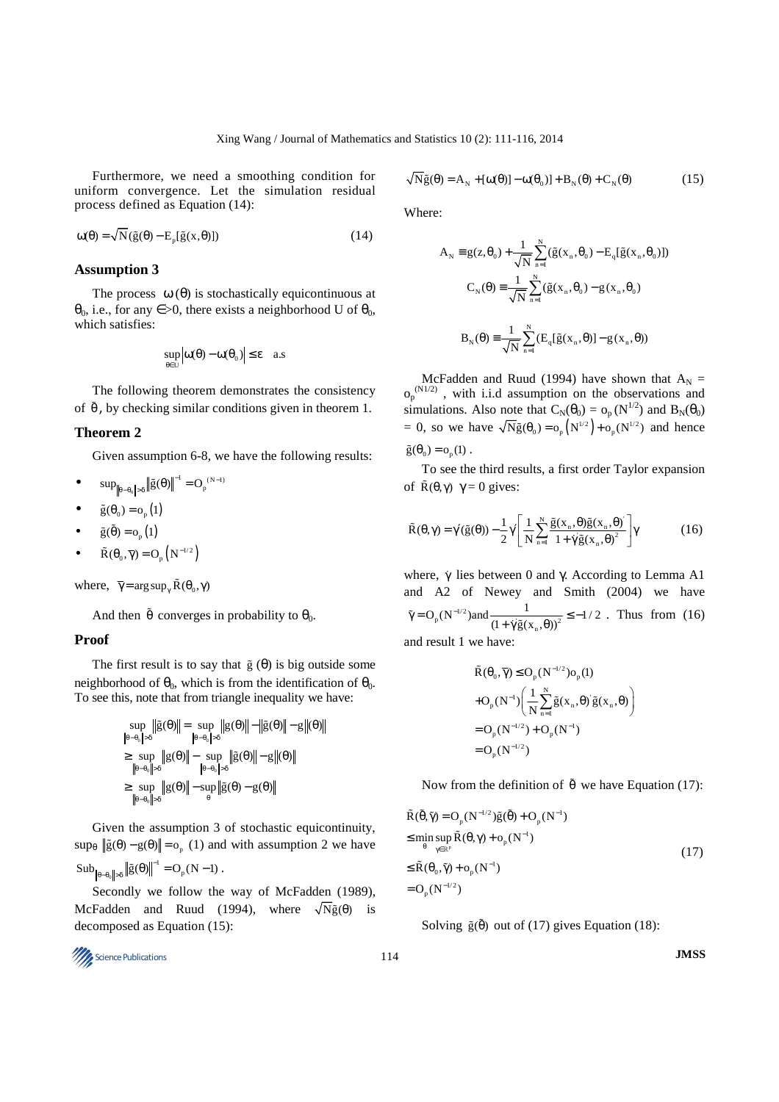Furthermore, we need a smoothing condition for uniform convergence. Let the simulation residual process defined as Equation (14):

$$
\omega(\theta) = \sqrt{N}(\tilde{g}(\theta) - E_{p}[\tilde{g}(x,\theta)])
$$
\n(14)

## **Assumption 3**

The process  $\omega(\theta)$  is stochastically equicontinuous at  $\theta_0$ , i.e., for any  $\epsilon > 0$ , there exists a neighborhood U of  $\theta_0$ , which satisfies:

$$
\sup_{\theta \in U} \left| \omega(\theta) - \omega(\theta_0) \right| \le \epsilon \quad a.s
$$

The following theorem demonstrates the consistency of  $\tilde{\theta}$ , by checking similar conditions given in theorem 1.

#### **Theorem 2**

Given assumption 6-8, we have the following results:

- $\bf{0}$  $\sup_{\|\theta-\theta_0\|>\delta} \|\tilde{g}(\theta)\|^{-1} = O_p^{(N-1)}$
- $\tilde{g}(\theta_0) = o_n(1)$
- $\tilde{g}(\tilde{\theta}) = o_p(1)$
- $\tilde{R}(\theta_0, \overline{\gamma}) = O_p(N^{-1/2})$

where,  $\overline{\gamma} = \arg \sup_{\gamma} \tilde{R}(\theta_0, \gamma)$ 

And then  $\tilde{\theta}$  converges in probability to  $\theta_0$ .

## **Proof**

The first result is to say that  $\tilde{g}(\theta)$  is big outside some neighborhood of  $\theta_0$ , which is from the identification of  $\theta_0$ . To see this, note that from triangle inequality we have:

$$
\sup_{\|\theta-\theta_0\|>\delta} \|\tilde{g}(\theta)\| = \sup_{\|\theta-\theta_0\|>\delta} \|g(\theta)\| - \|\tilde{g}(\theta)\| - g\|(\theta)
$$
  
\n
$$
\geq \sup_{\|\theta-\theta_0\|>\delta} \|g(\theta)\| - \sup_{\|\theta-\theta_0\|>\delta} \|\tilde{g}(\theta)\| - g\|(\theta)\|
$$
  
\n
$$
\geq \sup_{\|\theta-\theta_0\|>\delta} \|g(\theta)\| - \sup_{\theta}\|\tilde{g}(\theta) - g(\theta)\|
$$

Given the assumption 3 of stochastic equicontinuity,  $\sup_{\theta}$   $\|\tilde{g}(\theta) - g(\theta)\| = o_p(1)$  and with assumption 2 we have  $\text{Sub}_{\|\hat{\mathbf{q}}_0 - \hat{\mathbf{q}}_s\| > \delta} \|\tilde{\mathbf{g}}(\theta)\|^{-1} = O_{\rho}(N-1)$  $_{\theta-\theta_0 \|>\delta}$   $\|\tilde{g}(\theta)\|^{-1} = O_p(N-1)$ .

Secondly we follow the way of McFadden (1989), McFadden and Ruud (1994), where  $\sqrt{N} \tilde{g}(\theta)$  is decomposed as Equation (15):

Science Publications 114 **JMSS** 

 $\mathbf 0$ 

$$
\sqrt{N}\tilde{g}(\theta) = A_N + [\omega(\theta)] - \omega(\theta_0)] + B_N(\theta) + C_N(\theta)
$$
\n(15)

Where:

$$
A_N = g(z, \theta_0) + \frac{1}{\sqrt{N}} \sum_{n=1}^N (\tilde{g}(x_n, \theta_0) - E_q[\tilde{g}(x_n, \theta_0)])
$$
  

$$
C_N(\theta) = \frac{1}{\sqrt{N}} \sum_{n=1}^N (\tilde{g}(x_n, \theta_0) - g(x_n, \theta_0))
$$
  

$$
B_N(\theta) = \frac{1}{\sqrt{N}} \sum_{n=1}^N (E_q[\tilde{g}(x_n, \theta)] - g(x_n, \theta))
$$

McFadden and Ruud (1994) have shown that  $A_N =$  $o_p^{(N1/2)}$ , with i.i.d assumption on the observations and simulations. Also note that  $C_N(\theta_0) = o_p(N^{1/2})$  and  $B_N(\theta_0)$ = 0, so we have  $\sqrt{N}\tilde{g}(\theta_0) = o_p(N^{1/2}) + o_p(N^{1/2})$  and hence  $\tilde{g}(\theta_0) = o_p(1)$ .

To see the third results, a first order Taylor expansion of  $\tilde{R}(\theta, \gamma)$   $\gamma = 0$  gives:

$$
\tilde{\mathbf{R}}(\theta,\gamma) = \gamma'(\tilde{\mathbf{g}}(\theta)) - \frac{1}{2}\gamma \left[ \frac{1}{N} \sum_{n=1}^{N} \frac{\tilde{\mathbf{g}}(\mathbf{x}_n, \theta) \tilde{\mathbf{g}}(\mathbf{x}_n, \theta)}{1 + \gamma' \tilde{\mathbf{g}}(\mathbf{x}_n, \theta)^2} \right] \gamma
$$
(16)

where,  $\gamma$  lies between 0 and γ. According to Lemma A1 and A2 of Newey and Smith (2004) we have  $_{p}$ (N<sup>-1/2</sup>)and  $\frac{1}{(1 + \gamma \tilde{g}(x_n, \theta))^2}$  $O_p(N^{-1/2})$  and  $\frac{1}{(1 + \gamma \tilde{g}(x_n, \theta))^2} \le -1/2$  $\tilde{\gamma} = O_p(N^{-1/2})$  and  $\frac{1}{(1 + \dot{\gamma}\tilde{g}(x_n, \theta))^2} \le \tilde{\gamma} = O_p(N^{-1/2})$  and  $\frac{1}{(1 + \gamma \tilde{g}(x), \theta))^2} \le -1/2$ . Thus from (16) and result 1 we have:

> $\tilde{R}(\theta_0, \overline{\gamma}) \leq O_p(N^{-1/2})o_p(1)$  $\mathbf{g}_p(\mathbf{N}^{-1})\left(\frac{1}{\mathbf{N}}\sum_{n=1}^{\mathbf{N}}\tilde{\mathbf{g}}(\mathbf{x}_n,\boldsymbol{\theta})\right)\tilde{\mathbf{g}}(\mathbf{x}_n)$  $=O_p(N^{-1/2})+O_p(N^{-1})$  $= O_p(N^{-1/2})$  $O_p(N^{-1}) \left( \frac{1}{N} \sum_{n=1}^{N} \tilde{g}(x_n, \theta) \tilde{g}(x_n, \theta) \right)$ −  $+O_p(N^{-1})\left(\frac{1}{N}\sum_{n=1}^N \tilde{g}(x_n,\theta) \tilde{g}(x_n,\theta)\right)$

Now from the definition of  $\tilde{\theta}$  we have Equation (17):

$$
\tilde{R}(\tilde{\theta}, \tilde{\gamma}) = O_p(N^{-1/2}) \tilde{g}(\tilde{\theta}) + O_p(N^{-1})
$$
\n
$$
\leq \min_{\theta} \sup_{\gamma \in \mathbb{R}^p} \tilde{R}(\theta, \gamma) + o_p(N^{-1})
$$
\n
$$
\leq \tilde{R}(\theta_0, \tilde{\gamma}) + o_p(N^{-1})
$$
\n
$$
= O_p(N^{-1/2})
$$
\n(17)

Solving  $\tilde{g}(\tilde{\theta})$  out of (17) gives Equation (18):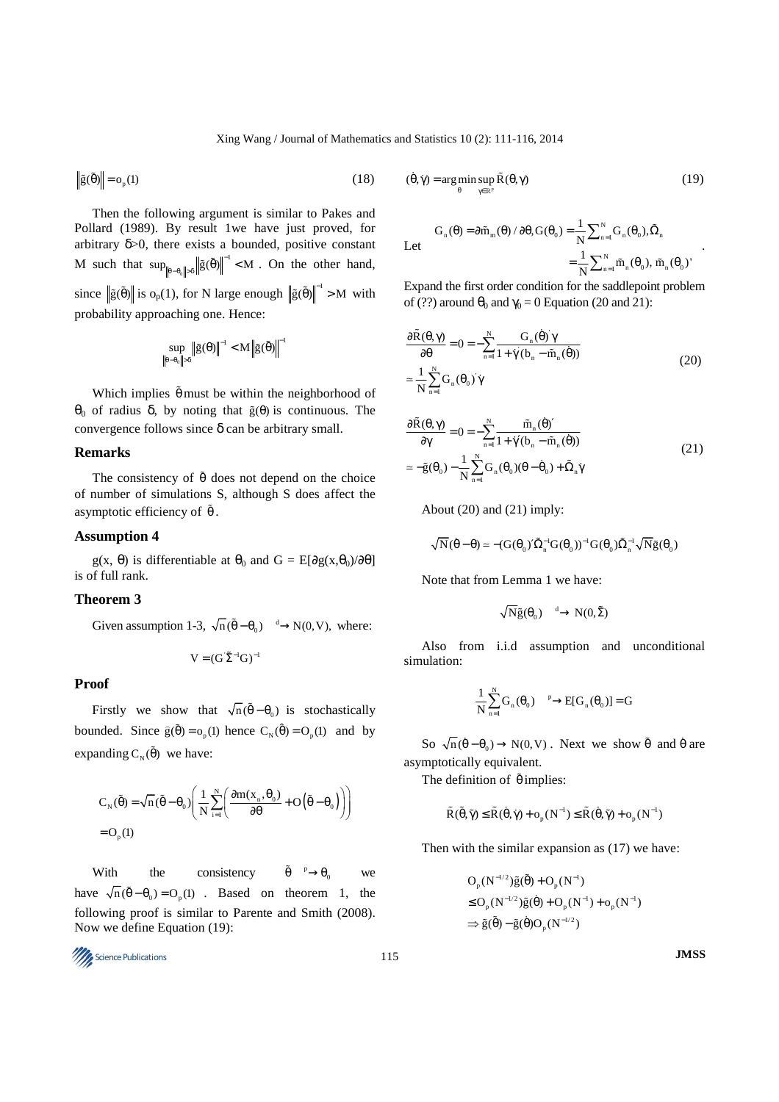$$
\left\| \tilde{\mathbf{g}}(\tilde{\boldsymbol{\theta}}) \right\| = \mathbf{o}_{\mathbf{p}}(1) \tag{18}
$$

Then the following argument is similar to Pakes and Pollard (1989). By result 1we have just proved, for arbitrary  $\delta$  >0, there exists a bounded, positive constant M such that  $\sup_{\|\theta-\theta_0\|}$  $\sup_{\|\theta\| \leq \theta} \|\tilde{g}(\tilde{\theta})\|^{-1} < M$  $\|\tilde{g}(\tilde{\theta})\|^{-1} < M$ . On the other hand, since  $\|\tilde{g}(\tilde{\theta})\|$  is  $o_p(1)$ , for N large enough  $\|\tilde{g}(\tilde{\theta})\|^{-1} > M$  with probability approaching one. Hence:

$$
\underset{\left\Vert \theta-\theta_{0}\right\Vert >\delta}{\sup}\left\Vert \tilde{g}(\theta)\right\Vert ^{-1}
$$

Which implies  $\tilde{\theta}$  must be within the neighborhood of  $θ$ <sub>0</sub> of radius δ, by noting that  $\tilde{g}(θ)$  is continuous. The convergence follows since δ can be arbitrary small.

# **Remarks**

The consistency of  $\tilde{\theta}$  does not depend on the choice of number of simulations S, although S does affect the asymptotic efficiency of  $\tilde{\theta}$ .

## **Assumption 4**

g(x,  $\theta$ ) is differentiable at  $\theta_0$  and  $G = E[\partial g(x, \theta_0)/\partial \theta]$ is of full rank.

# **Theorem 3**

Given assumption 1-3,  $\sqrt{n}(\tilde{\theta} - \theta_0) \xrightarrow{d} N(0, V)$ , where:

$$
V=(G^{\cdot}\tilde{\Sigma}^{-1}G)^{-1}
$$

# **Proof**

Firstly we show that  $\sqrt{n}(\tilde{\theta} - \theta_0)$  is stochastically bounded. Since  $\hat{g}(\tilde{\theta}) = o_p(1)$  hence  $C_N(\hat{\theta}) = O_p(1)$  and by expanding  $C_N(\tilde{\theta})$  we have:

$$
C_{N}(\tilde{\theta}) = \sqrt{n} (\tilde{\theta} - \theta_{0}) \left( \frac{1}{N} \sum_{i=1}^{N} \left( \frac{\partial m(x_{n}, \theta_{0})}{\partial \theta} + O(\tilde{\theta} - \theta_{0}) \right) \right)
$$
  
= O<sub>p</sub>(1)

With the consistency  $\tilde{\theta} \longrightarrow \theta_0$  we have  $\sqrt{n}(\tilde{\theta} - \theta_0) = O_p(1)$ . Based on theorem 1, the following proof is similar to Parente and Smith (2008). Now we define Equation (19):

$$
115
$$
 **JMSS**

$$
(\dot{\theta}, \dot{\gamma}) = \underset{\theta}{\arg\min} \underset{\gamma \in \mathbb{R}^p}{\sup} \widetilde{R}(\theta, \gamma) \tag{19}
$$

$$
G_{n}(\theta) = \partial \tilde{m}_{m}(\theta) / \partial \theta, G(\theta_{0}) = \frac{1}{N} \sum_{n=1}^{N} G_{n}(\theta_{0}), \tilde{\Omega}_{n}
$$

$$
= \frac{1}{N} \sum_{n=1}^{N} \tilde{m}_{n}(\theta_{0}), \tilde{m}_{n}(\theta_{0})'
$$

.

Expand the first order condition for the saddlepoint problem of (??) around  $\theta_0$  and  $\gamma_0 = 0$  Equation (20 and 21):

$$
\frac{\partial \tilde{R}(\theta, \gamma)}{\partial \theta} = 0 = -\sum_{n=1}^{N} \frac{G_n(\dot{\theta}) \gamma}{1 + \dot{\gamma} (\dot{b}_n - \tilde{m}_n(\dot{\theta}))}
$$
\n
$$
\approx \frac{1}{N} \sum_{n=1}^{N} G_n(\theta_0) \dot{\gamma}
$$
\n(20)

$$
\frac{\partial \tilde{R}(\theta, \gamma)}{\partial \gamma} = 0 = -\sum_{n=1}^{N} \frac{\tilde{m}_n(\dot{\theta})'}{1 + \dot{\gamma}'(b_n - \tilde{m}_n(\dot{\theta}))}
$$
\n
$$
\approx -\tilde{g}(\theta_0) - \frac{1}{N} \sum_{n=1}^{N} G_n(\theta_0)(\theta - \dot{\theta}_0) + \tilde{\Omega}_n \dot{\gamma}
$$
\n(21)

About  $(20)$  and  $(21)$  imply:

$$
\sqrt{N}(\dot{\boldsymbol{\theta}}-\boldsymbol{\theta})\simeq -(G(\boldsymbol{\theta}_0)'\tilde{\Omega}_n^{-1}G(\boldsymbol{\theta}_0))^{-1}G(\boldsymbol{\theta}_0)\tilde{\Omega}_n^{-1}\sqrt{N}\tilde{g}(\boldsymbol{\theta}_0)
$$

Note that from Lemma 1 we have:

 $\overline{\mathrm{N}}\tilde{\mathrm{g}}(\theta_{0}) \xrightarrow{d} \mathrm{N}(0,\tilde{\Sigma})$ 

Also from i.i.d assumption and unconditional simulation:

$$
\frac{1}{N}\sum_{n=1}^{N}G_n(\theta_0)\frac{p}{\cdots}E[G_n(\theta_0)]=G
$$

So  $\sqrt{n}(\dot{\theta} - \theta_0) \rightarrow N(0, V)$ . Next we show  $\tilde{\theta}$  and  $\dot{\theta}$  are asymptotically equivalent.

The definition of  $\tilde{\theta}$  implies:

$$
\tilde{R}(\tilde{\theta}, \tilde{\gamma}) \leq \tilde{R}(\dot{\theta}, \dot{\gamma}) + o_p(N^{-1}) \leq \tilde{R}(\dot{\theta}, \tilde{\gamma}) + o_p(N^{-1})
$$

Then with the similar expansion as (17) we have:

$$
\begin{aligned} &O_p(N^{-l/2})\tilde{g}(\tilde{\theta})+O_p(N^{-l})\\ &\le O_p(N^{-l/2})\tilde{g}(\dot{\theta})+O_p(N^{-l})+o_p(N^{-l})\\ &\Rightarrow \tilde{g}(\tilde{\theta})-\tilde{g}(\dot{\theta})O_p(N^{-l/2}) \end{aligned}
$$